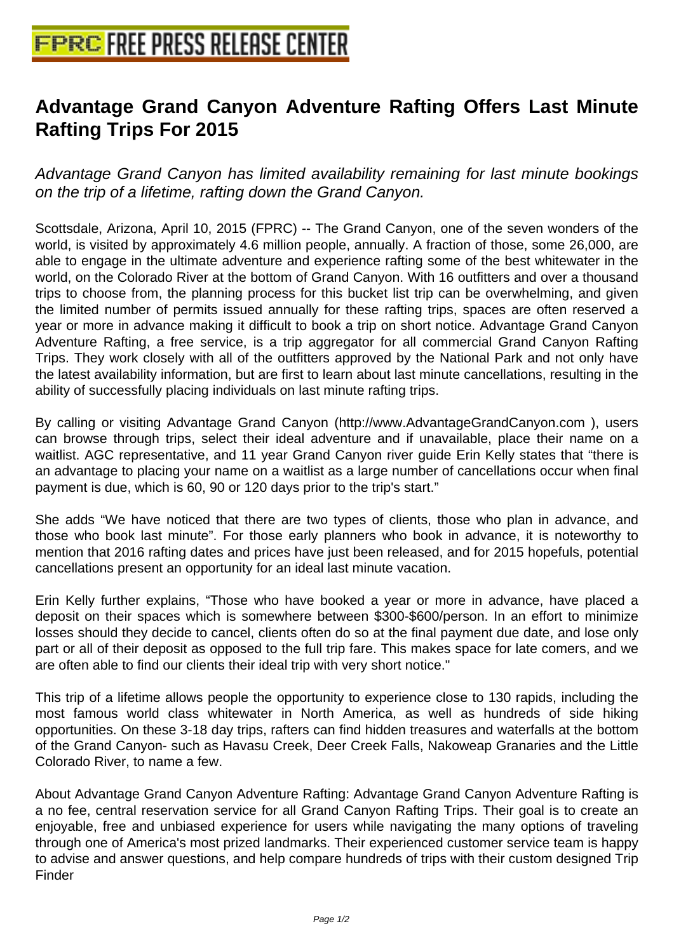## **[Advantage Grand Canyon Advent](http://www.free-press-release-center.info)ure Rafting Offers Last Minute Rafting Trips For 2015**

Advantage Grand Canyon has limited availability remaining for last minute bookings on the trip of a lifetime, rafting down the Grand Canyon.

Scottsdale, Arizona, April 10, 2015 (FPRC) -- The Grand Canyon, one of the seven wonders of the world, is visited by approximately 4.6 million people, annually. A fraction of those, some 26,000, are able to engage in the ultimate adventure and experience rafting some of the best whitewater in the world, on the Colorado River at the bottom of Grand Canyon. With 16 outfitters and over a thousand trips to choose from, the planning process for this bucket list trip can be overwhelming, and given the limited number of permits issued annually for these rafting trips, spaces are often reserved a year or more in advance making it difficult to book a trip on short notice. Advantage Grand Canyon Adventure Rafting, a free service, is a trip aggregator for all commercial Grand Canyon Rafting Trips. They work closely with all of the outfitters approved by the National Park and not only have the latest availability information, but are first to learn about last minute cancellations, resulting in the ability of successfully placing individuals on last minute rafting trips.

By calling or visiting Advantage Grand Canyon (http://www.AdvantageGrandCanyon.com ), users can browse through trips, select their ideal adventure and if unavailable, place their name on a waitlist. AGC representative, and 11 year Grand Canyon river guide Erin Kelly states that "there is an advantage to placing your name on a waitlist as a large number of cancellations occur when final payment is due, which is 60, 90 or 120 days prior to the trip's start."

She adds "We have noticed that there are two types of clients, those who plan in advance, and those who book last minute". For those early planners who book in advance, it is noteworthy to mention that 2016 rafting dates and prices have just been released, and for 2015 hopefuls, potential cancellations present an opportunity for an ideal last minute vacation.

Erin Kelly further explains, "Those who have booked a year or more in advance, have placed a deposit on their spaces which is somewhere between \$300-\$600/person. In an effort to minimize losses should they decide to cancel, clients often do so at the final payment due date, and lose only part or all of their deposit as opposed to the full trip fare. This makes space for late comers, and we are often able to find our clients their ideal trip with very short notice."

This trip of a lifetime allows people the opportunity to experience close to 130 rapids, including the most famous world class whitewater in North America, as well as hundreds of side hiking opportunities. On these 3-18 day trips, rafters can find hidden treasures and waterfalls at the bottom of the Grand Canyon- such as Havasu Creek, Deer Creek Falls, Nakoweap Granaries and the Little Colorado River, to name a few.

About Advantage Grand Canyon Adventure Rafting: Advantage Grand Canyon Adventure Rafting is a no fee, central reservation service for all Grand Canyon Rafting Trips. Their goal is to create an enjoyable, free and unbiased experience for users while navigating the many options of traveling through one of America's most prized landmarks. Their experienced customer service team is happy to advise and answer questions, and help compare hundreds of trips with their custom designed Trip Finder